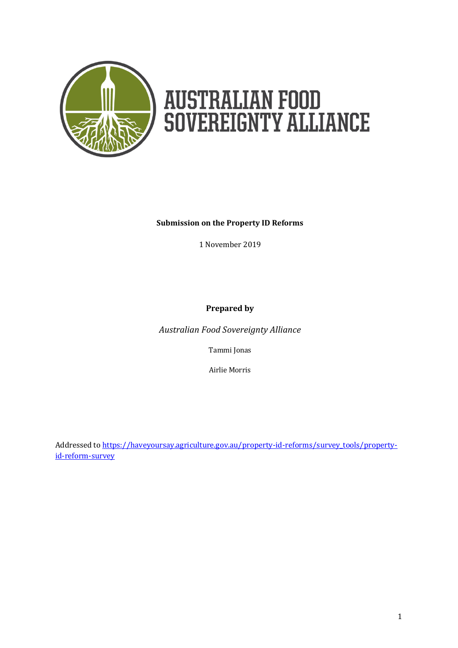

# **AUSTRALIAN FOOD<br>SOVEREIGNTY ALLIANCE**

#### **Submission on the Property ID Reforms**

1 November 2019

**Prepared by**

*Australian Food Sovereignty Alliance*

Tammi Jonas

Airlie Morris

Addressed to [https://haveyoursay.agriculture.gov.au/property-id-reforms/survey\\_tools/property](https://haveyoursay.agriculture.gov.au/property-id-reforms/survey_tools/property-id-reform-survey)[id-reform-survey](https://haveyoursay.agriculture.gov.au/property-id-reforms/survey_tools/property-id-reform-survey)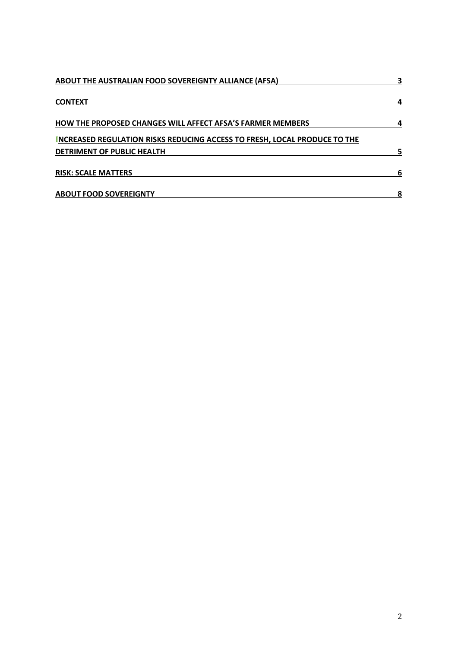| <b>ABOUT THE AUSTRALIAN FOOD SOVEREIGNTY ALLIANCE (AFSA)</b>              | З |
|---------------------------------------------------------------------------|---|
| <b>CONTEXT</b>                                                            |   |
| <b>HOW THE PROPOSED CHANGES WILL AFFECT AFSA'S FARMER MEMBERS</b>         |   |
| INCREASED REGULATION RISKS REDUCING ACCESS TO FRESH, LOCAL PRODUCE TO THE |   |
| DETRIMENT OF PUBLIC HEALTH                                                | 5 |
| <b>RISK: SCALE MATTERS</b>                                                |   |
| <b>ABOUT FOOD SOVEREIGNTY</b>                                             | 8 |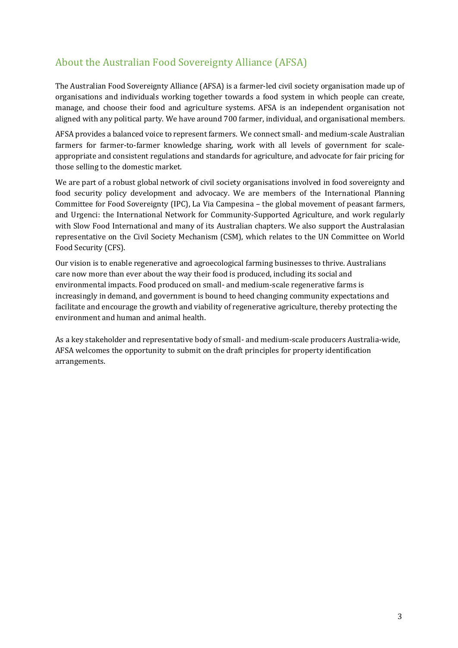#### About the Australian Food Sovereignty Alliance (AFSA)

The Australian Food Sovereignty Alliance (AFSA) is a farmer-led civil society organisation made up of organisations and individuals working together towards a food system in which people can create, manage, and choose their food and agriculture systems. AFSA is an independent organisation not aligned with any political party. We have around 700 farmer, individual, and organisational members.

AFSA provides a balanced voice to represent farmers. We connect small- and medium-scale Australian farmers for farmer-to-farmer knowledge sharing, work with all levels of government for scaleappropriate and consistent regulations and standards for agriculture, and advocate for fair pricing for those selling to the domestic market.

We are part of a robust global network of civil society organisations involved in food sovereignty and food security policy development and advocacy. We are members of the International Planning Committee for Food Sovereignty (IPC), La Via Campesina – the global movement of peasant farmers, and Urgenci: the International Network for Community-Supported Agriculture, and work regularly with Slow Food International and many of its Australian chapters. We also support the Australasian representative on the Civil Society Mechanism (CSM), which relates to the UN Committee on World Food Security (CFS).

Our vision is to enable regenerative and agroecological farming businesses to thrive. Australians care now more than ever about the way their food is produced, including its social and environmental impacts. Food produced on small- and medium-scale regenerative farms is increasingly in demand, and government is bound to heed changing community expectations and facilitate and encourage the growth and viability of regenerative agriculture, thereby protecting the environment and human and animal health.

As a key stakeholder and representative body of small- and medium-scale producers Australia-wide, AFSA welcomes the opportunity to submit on the draft principles for property identification arrangements.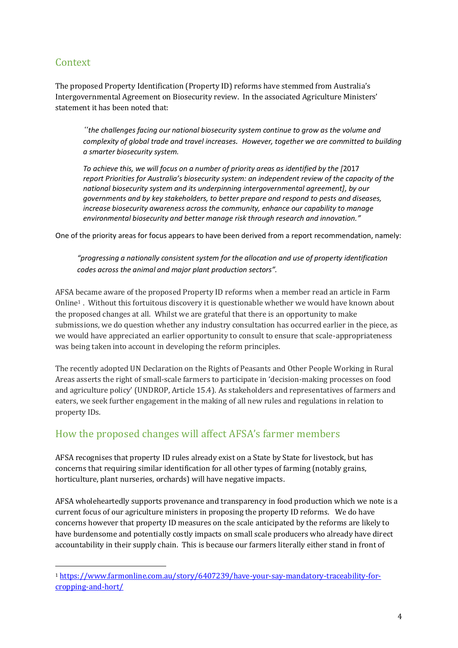#### Context

l

The proposed Property Identification (Property ID) reforms have stemmed from Australia's Intergovernmental Agreement on Biosecurity review. In the associated Agriculture Ministers' statement it has been noted that:

*"the challenges facing our national biosecurity system continue to grow as the volume and complexity of global trade and travel increases. However, together we are committed to building a smarter biosecurity system.*

*To achieve this, we will focus on a number of priority areas as identified by the [*2017 *report Priorities for Australia's biosecurity system: an independent review of the capacity of the national biosecurity system and its underpinning intergovernmental agreement], by our governments and by key stakeholders, to better prepare and respond to pests and diseases, increase biosecurity awareness across the community, enhance our capability to manage environmental biosecurity and better manage risk through research and innovation."*

One of the priority areas for focus appears to have been derived from a report recommendation, namely:

*"progressing a nationally consistent system for the allocation and use of property identification codes across the animal and major plant production sectors".*

AFSA became aware of the proposed Property ID reforms when a member read an article in Farm Online<sup>1</sup> . Without this fortuitous discovery it is questionable whether we would have known about the proposed changes at all. Whilst we are grateful that there is an opportunity to make submissions, we do question whether any industry consultation has occurred earlier in the piece, as we would have appreciated an earlier opportunity to consult to ensure that scale-appropriateness was being taken into account in developing the reform principles.

The recently adopted UN Declaration on the Rights of Peasants and Other People Working in Rural Areas asserts the right of small-scale farmers to participate in 'decision-making processes on food and agriculture policy' (UNDROP, Article 15.4). As stakeholders and representatives of farmers and eaters, we seek further engagement in the making of all new rules and regulations in relation to property IDs.

#### How the proposed changes will affect AFSA's farmer members

AFSA recognises that property ID rules already exist on a State by State for livestock, but has concerns that requiring similar identification for all other types of farming (notably grains, horticulture, plant nurseries, orchards) will have negative impacts.

AFSA wholeheartedly supports provenance and transparency in food production which we note is a current focus of our agriculture ministers in proposing the property ID reforms. We do have concerns however that property ID measures on the scale anticipated by the reforms are likely to have burdensome and potentially costly impacts on small scale producers who already have direct accountability in their supply chain. This is because our farmers literally either stand in front of

<sup>1</sup> [https://www.farmonline.com.au/story/6407239/have-your-say-mandatory-traceability-for](https://www.farmonline.com.au/story/6407239/have-your-say-mandatory-traceability-for-cropping-and-hort/)[cropping-and-hort/](https://www.farmonline.com.au/story/6407239/have-your-say-mandatory-traceability-for-cropping-and-hort/)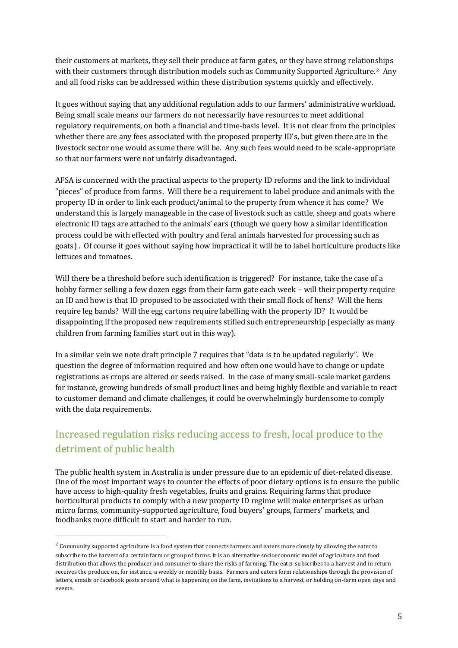their customers at markets, they sell their produce at farm gates, or they have strong relationships with their customers through distribution models such as Community Supported Agriculture.<sup>2</sup> Any and all food risks can be addressed within these distribution systems quickly and effectively.

It goes without saying that any additional regulation adds to our farmers' administrative workload. Being small scale means our farmers do not necessarily have resources to meet additional regulatory requirements, on both a financial and time-basis level. It is not clear from the principles whether there are any fees associated with the proposed property ID's, but given there are in the livestock sector one would assume there will be. Any such fees would need to be scale-appropriate so that our farmers were not unfairly disadvantaged.

AFSA is concerned with the practical aspects to the property ID reforms and the link to individual "pieces" of produce from farms. Will there be a requirement to label produce and animals with the property ID in order to link each product/animal to the property from whence it has come? We understand this is largely manageable in the case of livestock such as cattle, sheep and goats where electronic ID tags are attached to the animals' ears (though we query how a similar identification process could be with effected with poultry and feral animals harvested for processing such as goats) . Of course it goes without saying how impractical it will be to label horticulture products like lettuces and tomatoes.

Will there be a threshold before such identification is triggered? For instance, take the case of a hobby farmer selling a few dozen eggs from their farm gate each week – will their property require an ID and how is that ID proposed to be associated with their small flock of hens? Will the hens require leg bands? Will the egg cartons require labelling with the property ID? It would be disappointing if the proposed new requirements stifled such entrepreneurship (especially as many children from farming families start out in this way).

In a similar vein we note draft principle 7 requires that "data is to be updated regularly". We question the degree of information required and how often one would have to change or update registrations as crops are altered or seeds raised. In the case of many small-scale market gardens for instance, growing hundreds of small product lines and being highly flexible and variable to react to customer demand and climate challenges, it could be overwhelmingly burdensome to comply with the data requirements.

### Increased regulation risks reducing access to fresh, local produce to the detriment of public health

The public health system in Australia is under pressure due to an epidemic of diet-related disease. One of the most important ways to counter the effects of poor dietary options is to ensure the public have access to high-quality fresh vegetables, fruits and grains. Requiring farms that produce horticultural products to comply with a new property ID regime will make enterprises as urban micro farms, community-supported agriculture, food buyers' groups, farmers' markets, and foodbanks more difficult to start and harder to run.

 $\overline{a}$ 

<sup>&</sup>lt;sup>2</sup> Community supported agriculture is a food system that connects farmers and eaters more closely by allowing the eater to subscribe to the harvest of a certain farm or group of farms. It is an alternative socioeconomic model of [agriculture](https://en.wikipedia.org/wiki/Agriculture) and food distribution that allows the producer and consumer to share the risks of farming. The eater subscribes to a harvest and in return receives the produce on, for instance, a weekly or monthly basis. Farmers and eaters form relationships through the provision of letters, emails or facebook posts around what is happening on the farm, invitations to a harvest, or holding on-farm open days and events.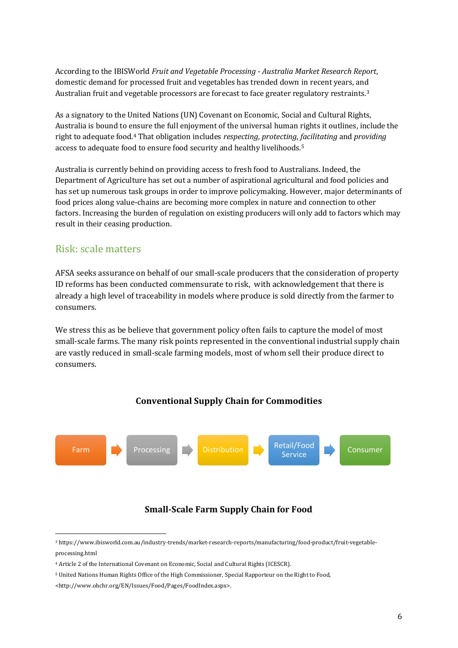According to the IBISWorld *Fruit and Vegetable Processing - Australia Market Research Report*, domestic demand for processed fruit and vegetables has trended down in recent years, and Australian fruit and vegetable processors are forecast to face greater regulatory restraints.<sup>3</sup>

As a signatory to the United Nations (UN) Covenant on Economic, Social and Cultural Rights, Australia is bound to ensure the full enjoyment of the universal human rights it outlines, include the right to adequate food.<sup>4</sup> That obligation includes *respecting*, *protecting*, *facilitating* and *providing* access to adequate food to ensure food security and healthy livelihoods.<sup>5</sup>

Australia is currently behind on providing access to fresh food to Australians. Indeed, the Department of Agriculture has set out a number of aspirational agricultural and food policies and has set up numerous task groups in order to improve policymaking. However, major determinants of food prices along value-chains are becoming more complex in nature and connection to other factors. Increasing the burden of regulation on existing producers will only add to factors which may result in their ceasing production.

#### Risk: scale matters

AFSA seeks assurance on behalf of our small-scale producers that the consideration of property ID reforms has been conducted commensurate to risk, with acknowledgement that there is already a high level of traceability in models where produce is sold directly from the farmer to consumers.

We stress this as be believe that government policy often fails to capture the model of most small-scale farms. The many risk points represented in the conventional industrial supply chain are vastly reduced in small-scale farming models, most of whom sell their produce direct to consumers.

#### **Conventional Supply Chain for Commodities**



#### **Small-Scale Farm Supply Chain for Food**

l

<sup>3</sup> [https://www.ibisworld.com.au/industry-trends/market-research-reports/manufacturing/food-product/fruit-vegetable](https://www.ibisworld.com.au/industry-trends/market-research-reports/manufacturing/food-product/fruit-vegetable-processing.html)[processing.html](https://www.ibisworld.com.au/industry-trends/market-research-reports/manufacturing/food-product/fruit-vegetable-processing.html)

<sup>4</sup> Article 2 of the International Covenant on Economic, Social and Cultural Rights (ICESCR).

<sup>5</sup> United Nations Human Rights Office of the High Commissioner, Special Rapporteur on the Right to Food,

<sup>&</sup>lt;http://www.ohchr.org/EN/Issues/Food/Pages/FoodIndex.aspx>.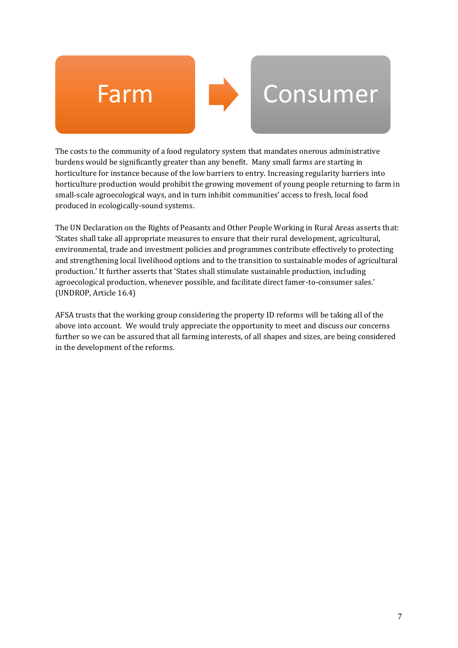

## Farm Consumer

The costs to the community of a food regulatory system that mandates onerous administrative burdens would be significantly greater than any benefit. Many small farms are starting in horticulture for instance because of the low barriers to entry. Increasing regularity barriers into horticulture production would prohibit the growing movement of young people returning to farm in small-scale agroecological ways, and in turn inhibit communities' access to fresh, local food produced in ecologically-sound systems.

The UN Declaration on the Rights of Peasants and Other People Working in Rural Areas asserts that: 'States shall take all appropriate measures to ensure that their rural development, agricultural, environmental, trade and investment policies and programmes contribute effectively to protecting and strengthening local livelihood options and to the transition to sustainable modes of agricultural production.' It further asserts that 'States shall stimulate sustainable production, including agroecological production, whenever possible, and facilitate direct famer-to-consumer sales.' (UNDROP, Article 16.4)

AFSA trusts that the working group considering the property ID reforms will be taking all of the above into account. We would truly appreciate the opportunity to meet and discuss our concerns further so we can be assured that all farming interests, of all shapes and sizes, are being considered in the development of the reforms.